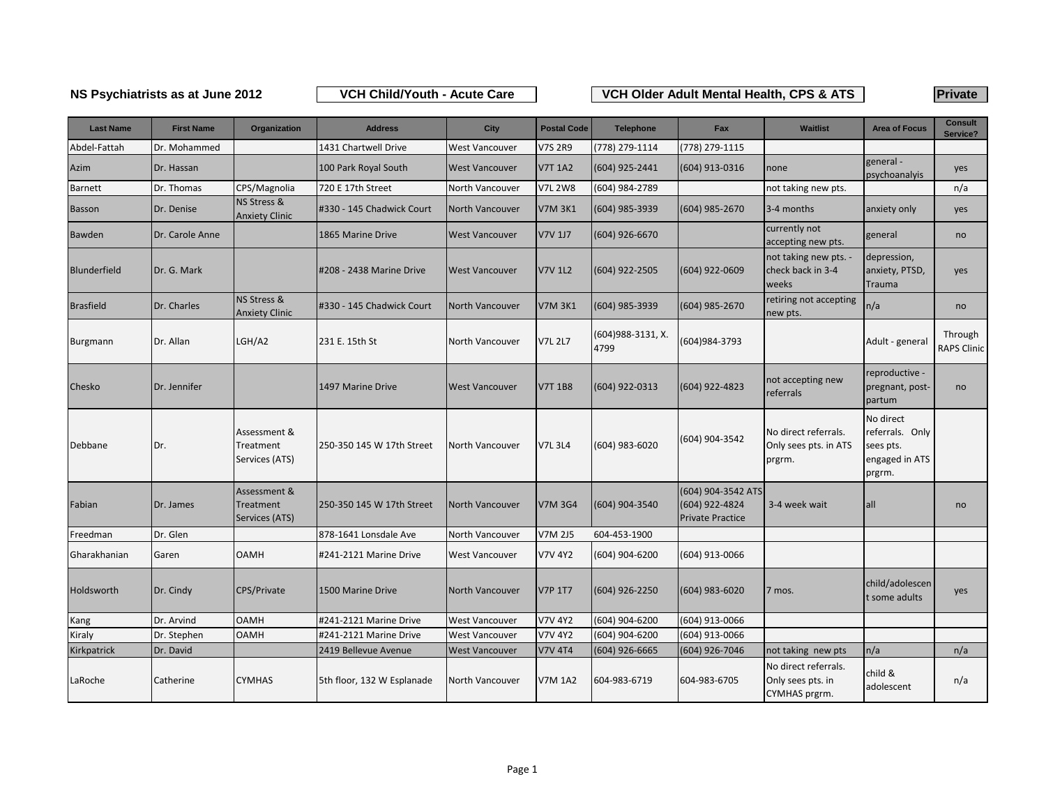## **NS Psychiatrists as at June 2012 Private VCH Child/Youth - Acute Care VCH Older Adult Mental Health, CPS & ATS**

| <b>Last Name</b> | <b>First Name</b> | Organization                                | <b>Address</b>             | City                  | <b>Postal Code</b> | <b>Telephone</b>           | Fax                                                             | <b>Waitlist</b>                                            | <b>Area of Focus</b>                                                  | <b>Consult</b><br>Service?    |
|------------------|-------------------|---------------------------------------------|----------------------------|-----------------------|--------------------|----------------------------|-----------------------------------------------------------------|------------------------------------------------------------|-----------------------------------------------------------------------|-------------------------------|
| Abdel-Fattah     | Dr. Mohammed      |                                             | 1431 Chartwell Drive       | <b>West Vancouver</b> | V7S 2R9            | (778) 279-1114             | (778) 279-1115                                                  |                                                            |                                                                       |                               |
| Azim             | Dr. Hassan        |                                             | 100 Park Royal South       | <b>West Vancouver</b> | <b>V7T 1A2</b>     | (604) 925-2441             | (604) 913-0316                                                  | none                                                       | general-<br>psychoanalyis                                             | yes                           |
| Barnett          | Dr. Thomas        | CPS/Magnolia                                | 720 E 17th Street          | North Vancouver       | <b>V7L 2W8</b>     | (604) 984-2789             |                                                                 | not taking new pts.                                        |                                                                       | n/a                           |
| <b>Basson</b>    | Dr. Denise        | NS Stress &<br><b>Anxiety Clinic</b>        | #330 - 145 Chadwick Court  | North Vancouver       | <b>V7M 3K1</b>     | (604) 985-3939             | (604) 985-2670                                                  | 3-4 months                                                 | anxiety only                                                          | yes                           |
| Bawden           | Dr. Carole Anne   |                                             | 1865 Marine Drive          | <b>West Vancouver</b> | <b>V7V 1J7</b>     | (604) 926-6670             |                                                                 | currently not<br>accepting new pts.                        | general                                                               | no                            |
| Blunderfield     | Dr. G. Mark       |                                             | #208 - 2438 Marine Drive   | <b>West Vancouver</b> | <b>V7V 1L2</b>     | (604) 922-2505             | (604) 922-0609                                                  | not taking new pts. -<br>check back in 3-4<br>weeks        | depression,<br>anxiety, PTSD,<br>Trauma                               | yes                           |
| <b>Brasfield</b> | Dr. Charles       | NS Stress &<br><b>Anxiety Clinic</b>        | #330 - 145 Chadwick Court  | North Vancouver       | <b>V7M 3K1</b>     | (604) 985-3939             | (604) 985-2670                                                  | retiring not accepting<br>new pts.                         | n/a                                                                   | no                            |
| Burgmann         | Dr. Allan         | LGH/A2                                      | 231 E. 15th St             | North Vancouver       | <b>V7L 2L7</b>     | (604) 988-3131, X.<br>4799 | (604)984-3793                                                   |                                                            | Adult - general                                                       | Through<br><b>RAPS Clinic</b> |
| Chesko           | Dr. Jennifer      |                                             | 1497 Marine Drive          | <b>West Vancouver</b> | <b>V7T 1B8</b>     | (604) 922-0313             | (604) 922-4823                                                  | not accepting new<br>referrals                             | reproductive -<br>pregnant, post-<br>partum                           | no                            |
| Debbane          | Dr.               | Assessment &<br>Treatment<br>Services (ATS) | 250-350 145 W 17th Street  | North Vancouver       | <b>V7L 3L4</b>     | (604) 983-6020             | (604) 904-3542                                                  | No direct referrals.<br>Only sees pts. in ATS<br>prgrm.    | No direct<br>referrals. Only<br>sees pts.<br>engaged in ATS<br>prgrm. |                               |
| Fabian           | Dr. James         | Assessment &<br>Treatment<br>Services (ATS) | 250-350 145 W 17th Street  | North Vancouver       | V7M 3G4            | (604) 904-3540             | (604) 904-3542 ATS<br>(604) 922-4824<br><b>Private Practice</b> | 3-4 week wait                                              | all                                                                   | no                            |
| Freedman         | Dr. Glen          |                                             | 878-1641 Lonsdale Ave      | North Vancouver       | <b>V7M 2J5</b>     | 604-453-1900               |                                                                 |                                                            |                                                                       |                               |
| Gharakhanian     | Garen             | <b>OAMH</b>                                 | #241-2121 Marine Drive     | West Vancouver        | <b>V7V 4Y2</b>     | (604) 904-6200             | (604) 913-0066                                                  |                                                            |                                                                       |                               |
| Holdsworth       | Dr. Cindy         | CPS/Private                                 | 1500 Marine Drive          | North Vancouver       | <b>V7P 1T7</b>     | (604) 926-2250             | $(604)$ 983-6020                                                | 7 mos.                                                     | child/adolescen<br>t some adults                                      | yes                           |
| Kang             | Dr. Arvind        | <b>OAMH</b>                                 | #241-2121 Marine Drive     | <b>West Vancouver</b> | <b>V7V 4Y2</b>     | (604) 904-6200             | (604) 913-0066                                                  |                                                            |                                                                       |                               |
| Kiraly           | Dr. Stephen       | <b>OAMH</b>                                 | #241-2121 Marine Drive     | <b>West Vancouver</b> | V7V 4Y2            | (604) 904-6200             | (604) 913-0066                                                  |                                                            |                                                                       |                               |
| Kirkpatrick      | Dr. David         |                                             | 2419 Bellevue Avenue       | <b>West Vancouver</b> | <b>V7V 4T4</b>     | $(604)$ 926-6665           | (604) 926-7046                                                  | not taking new pts                                         | n/a                                                                   | n/a                           |
| LaRoche          | Catherine         | <b>CYMHAS</b>                               | 5th floor, 132 W Esplanade | North Vancouver       | <b>V7M 1A2</b>     | 604-983-6719               | 604-983-6705                                                    | No direct referrals.<br>Only sees pts. in<br>CYMHAS prgrm. | child &<br>adolescent                                                 | n/a                           |